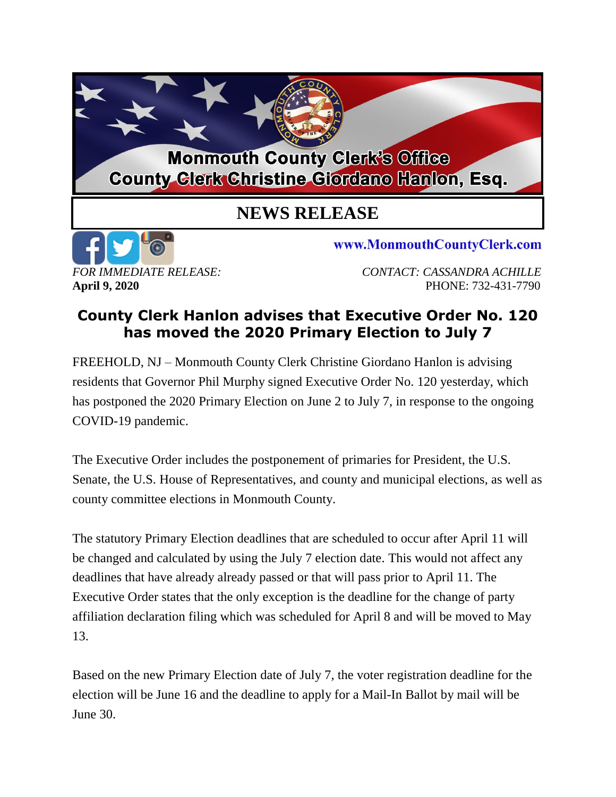## **Monmouth County Clerk's Office County Clerk Christine Giordano Hanlon, Esq.**

## **NEWS RELEASE**



www.MonmouthCountyClerk.com

*FOR IMMEDIATE RELEASE: CONTACT: CASSANDRA ACHILLE* **April 9, 2020** PHONE: 732-431-7790

## **County Clerk Hanlon advises that Executive Order No. 120 has moved the 2020 Primary Election to July 7**

FREEHOLD, NJ – Monmouth County Clerk Christine Giordano Hanlon is advising residents that Governor Phil Murphy signed Executive Order No. 120 yesterday, which has postponed the 2020 Primary Election on June 2 to July 7, in response to the ongoing COVID-19 pandemic.

The Executive Order includes the postponement of primaries for President, the U.S. Senate, the U.S. House of Representatives, and county and municipal elections, as well as county committee elections in Monmouth County.

The statutory Primary Election deadlines that are scheduled to occur after April 11 will be changed and calculated by using the July 7 election date. This would not affect any deadlines that have already already passed or that will pass prior to April 11. The Executive Order states that the only exception is the deadline for the change of party affiliation declaration filing which was scheduled for April 8 and will be moved to May 13.

Based on the new Primary Election date of July 7, the voter registration deadline for the election will be June 16 and the deadline to apply for a Mail-In Ballot by mail will be June 30.